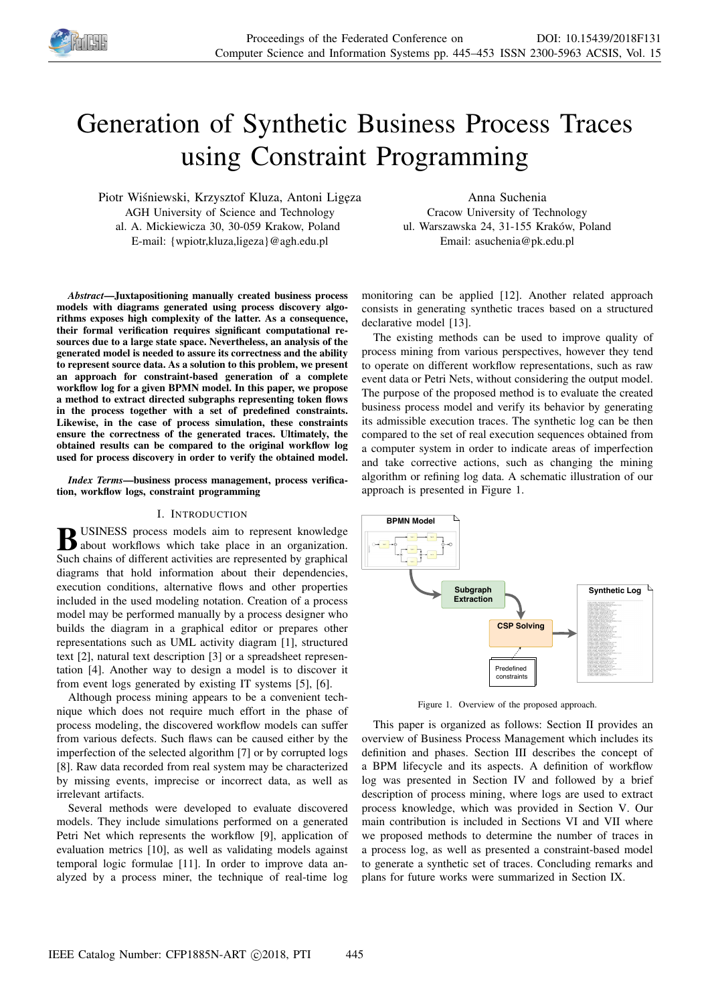

# Generation of Synthetic Business Process Traces using Constraint Programming

Piotr Wiśniewski, Krzysztof Kluza, Antoni Ligęza AGH University of Science and Technology al. A. Mickiewicza 30, 30-059 Krakow, Poland E-mail: {wpiotr,kluza,ligeza}@agh.edu.pl

Anna Suchenia Cracow University of Technology ul. Warszawska 24, 31-155 Kraków, Poland Email: asuchenia@pk.edu.pl

*Abstract*—Juxtapositioning manually created business process models with diagrams generated using process discovery algorithms exposes high complexity of the latter. As a consequence, their formal verification requires significant computational resources due to a large state space. Nevertheless, an analysis of the generated model is needed to assure its correctness and the ability to represent source data. As a solution to this problem, we present an approach for constraint-based generation of a complete workflow log for a given BPMN model. In this paper, we propose a method to extract directed subgraphs representing token flows in the process together with a set of predefined constraints. Likewise, in the case of process simulation, these constraints ensure the correctness of the generated traces. Ultimately, the obtained results can be compared to the original workflow log used for process discovery in order to verify the obtained model.

*Index Terms*—business process management, process verification, workflow logs, constraint programming

# I. INTRODUCTION

**B** USINESS process models aim to represent knowledge<br>about workflows which take place in an organization. about workflows which take place in an organization. Such chains of different activities are represented by graphical diagrams that hold information about their dependencies, execution conditions, alternative flows and other properties included in the used modeling notation. Creation of a process model may be performed manually by a process designer who builds the diagram in a graphical editor or prepares other representations such as UML activity diagram [1], structured text [2], natural text description [3] or a spreadsheet representation [4]. Another way to design a model is to discover it from event logs generated by existing IT systems [5], [6].

Although process mining appears to be a convenient technique which does not require much effort in the phase of process modeling, the discovered workflow models can suffer from various defects. Such flaws can be caused either by the imperfection of the selected algorithm [7] or by corrupted logs [8]. Raw data recorded from real system may be characterized by missing events, imprecise or incorrect data, as well as irrelevant artifacts.

Several methods were developed to evaluate discovered models. They include simulations performed on a generated Petri Net which represents the workflow [9], application of evaluation metrics [10], as well as validating models against temporal logic formulae [11]. In order to improve data analyzed by a process miner, the technique of real-time log

monitoring can be applied [12]. Another related approach consists in generating synthetic traces based on a structured declarative model [13].

The existing methods can be used to improve quality of process mining from various perspectives, however they tend to operate on different workflow representations, such as raw event data or Petri Nets, without considering the output model. The purpose of the proposed method is to evaluate the created business process model and verify its behavior by generating its admissible execution traces. The synthetic log can be then compared to the set of real execution sequences obtained from a computer system in order to indicate areas of imperfection and take corrective actions, such as changing the mining algorithm or refining log data. A schematic illustration of our approach is presented in Figure 1.



Figure 1. Overview of the proposed approach.

This paper is organized as follows: Section II provides an overview of Business Process Management which includes its definition and phases. Section III describes the concept of a BPM lifecycle and its aspects. A definition of workflow log was presented in Section IV and followed by a brief description of process mining, where logs are used to extract process knowledge, which was provided in Section V. Our main contribution is included in Sections VI and VII where we proposed methods to determine the number of traces in a process log, as well as presented a constraint-based model to generate a synthetic set of traces. Concluding remarks and plans for future works were summarized in Section IX.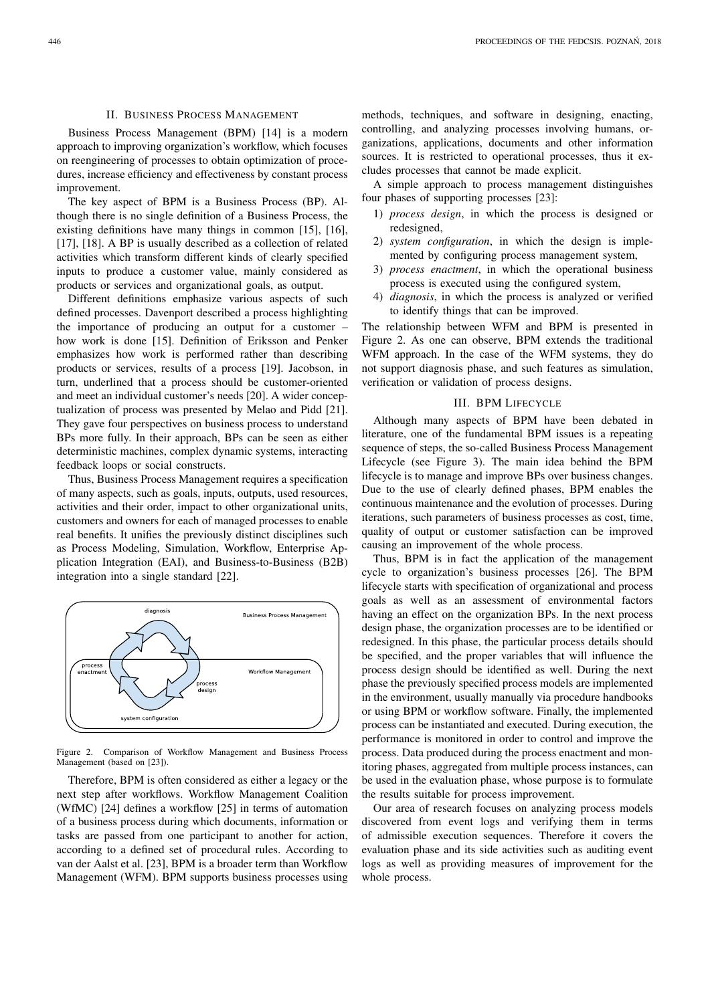# II. BUSINESS PROCESS MANAGEMENT

Business Process Management (BPM) [14] is a modern approach to improving organization's workflow, which focuses on reengineering of processes to obtain optimization of procedures, increase efficiency and effectiveness by constant process improvement.

The key aspect of BPM is a Business Process (BP). Although there is no single definition of a Business Process, the existing definitions have many things in common [15], [16], [17], [18]. A BP is usually described as a collection of related activities which transform different kinds of clearly specified inputs to produce a customer value, mainly considered as products or services and organizational goals, as output.

Different definitions emphasize various aspects of such defined processes. Davenport described a process highlighting the importance of producing an output for a customer – how work is done [15]. Definition of Eriksson and Penker emphasizes how work is performed rather than describing products or services, results of a process [19]. Jacobson, in turn, underlined that a process should be customer-oriented and meet an individual customer's needs [20]. A wider conceptualization of process was presented by Melao and Pidd [21]. They gave four perspectives on business process to understand BPs more fully. In their approach, BPs can be seen as either deterministic machines, complex dynamic systems, interacting feedback loops or social constructs.

Thus, Business Process Management requires a specification of many aspects, such as goals, inputs, outputs, used resources, activities and their order, impact to other organizational units, customers and owners for each of managed processes to enable real benefits. It unifies the previously distinct disciplines such as Process Modeling, Simulation, Workflow, Enterprise Application Integration (EAI), and Business-to-Business (B2B) integration into a single standard [22].



Figure 2. Comparison of Workflow Management and Business Process Management (based on [23]).

Therefore, BPM is often considered as either a legacy or the next step after workflows. Workflow Management Coalition (WfMC) [24] defines a workflow [25] in terms of automation of a business process during which documents, information or tasks are passed from one participant to another for action, according to a defined set of procedural rules. According to van der Aalst et al. [23], BPM is a broader term than Workflow Management (WFM). BPM supports business processes using

methods, techniques, and software in designing, enacting, controlling, and analyzing processes involving humans, organizations, applications, documents and other information sources. It is restricted to operational processes, thus it excludes processes that cannot be made explicit.

A simple approach to process management distinguishes four phases of supporting processes [23]:

- 1) *process design*, in which the process is designed or redesigned,
- 2) *system configuration*, in which the design is implemented by configuring process management system,
- 3) *process enactment*, in which the operational business process is executed using the configured system,
- 4) *diagnosis*, in which the process is analyzed or verified to identify things that can be improved.

The relationship between WFM and BPM is presented in Figure 2. As one can observe, BPM extends the traditional WFM approach. In the case of the WFM systems, they do not support diagnosis phase, and such features as simulation, verification or validation of process designs.

# III. BPM LIFECYCLE

Although many aspects of BPM have been debated in literature, one of the fundamental BPM issues is a repeating sequence of steps, the so-called Business Process Management Lifecycle (see Figure 3). The main idea behind the BPM lifecycle is to manage and improve BPs over business changes. Due to the use of clearly defined phases, BPM enables the continuous maintenance and the evolution of processes. During iterations, such parameters of business processes as cost, time, quality of output or customer satisfaction can be improved causing an improvement of the whole process.

Thus, BPM is in fact the application of the management cycle to organization's business processes [26]. The BPM lifecycle starts with specification of organizational and process goals as well as an assessment of environmental factors having an effect on the organization BPs. In the next process design phase, the organization processes are to be identified or redesigned. In this phase, the particular process details should be specified, and the proper variables that will influence the process design should be identified as well. During the next phase the previously specified process models are implemented in the environment, usually manually via procedure handbooks or using BPM or workflow software. Finally, the implemented process can be instantiated and executed. During execution, the performance is monitored in order to control and improve the process. Data produced during the process enactment and monitoring phases, aggregated from multiple process instances, can be used in the evaluation phase, whose purpose is to formulate the results suitable for process improvement.

Our area of research focuses on analyzing process models discovered from event logs and verifying them in terms of admissible execution sequences. Therefore it covers the evaluation phase and its side activities such as auditing event logs as well as providing measures of improvement for the whole process.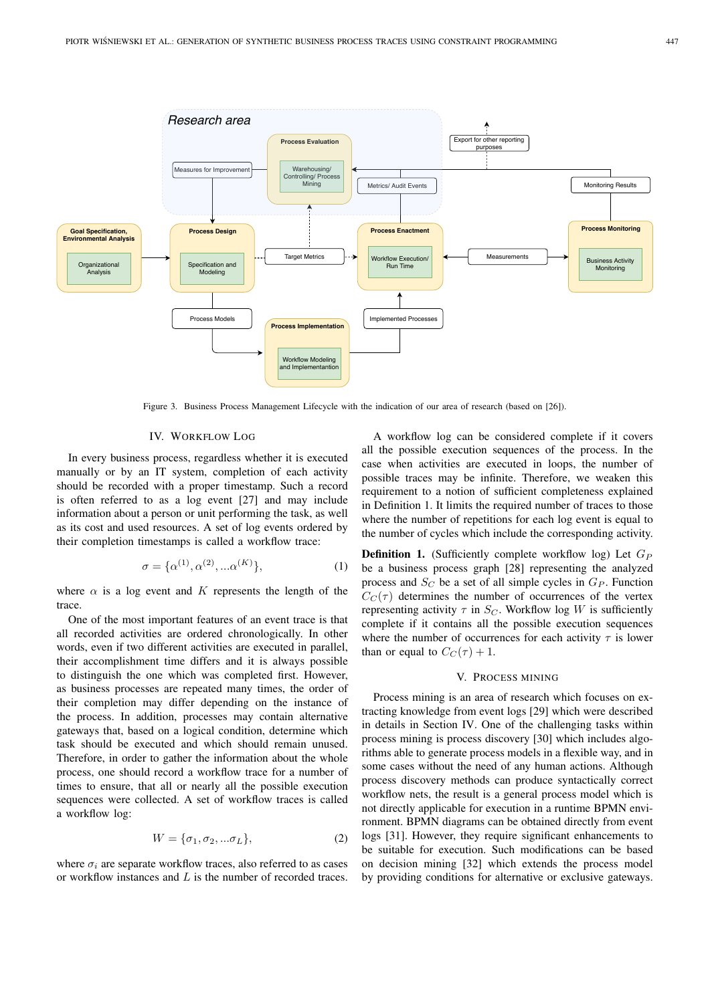

Figure 3. Business Process Management Lifecycle with the indication of our area of research (based on [26]).

## IV. WORKFLOW LOG

In every business process, regardless whether it is executed manually or by an IT system, completion of each activity should be recorded with a proper timestamp. Such a record is often referred to as a log event [27] and may include information about a person or unit performing the task, as well as its cost and used resources. A set of log events ordered by their completion timestamps is called a workflow trace:

$$
\sigma = {\alpha^{(1)}, \alpha^{(2)}, \dots \alpha^{(K)}},
$$
\n(1)

where  $\alpha$  is a log event and K represents the length of the trace.

One of the most important features of an event trace is that all recorded activities are ordered chronologically. In other words, even if two different activities are executed in parallel, their accomplishment time differs and it is always possible to distinguish the one which was completed first. However, as business processes are repeated many times, the order of their completion may differ depending on the instance of the process. In addition, processes may contain alternative gateways that, based on a logical condition, determine which task should be executed and which should remain unused. Therefore, in order to gather the information about the whole process, one should record a workflow trace for a number of times to ensure, that all or nearly all the possible execution sequences were collected. A set of workflow traces is called a workflow log:

$$
W = {\sigma_1, \sigma_2, \dots \sigma_L},\tag{2}
$$

where  $\sigma_i$  are separate workflow traces, also referred to as cases or workflow instances and L is the number of recorded traces.

A workflow log can be considered complete if it covers all the possible execution sequences of the process. In the case when activities are executed in loops, the number of possible traces may be infinite. Therefore, we weaken this requirement to a notion of sufficient completeness explained in Definition 1. It limits the required number of traces to those where the number of repetitions for each log event is equal to the number of cycles which include the corresponding activity.

**Definition 1.** (Sufficiently complete workflow log) Let  $G_P$ be a business process graph [28] representing the analyzed process and  $S_C$  be a set of all simple cycles in  $G_P$ . Function  $C_C(\tau)$  determines the number of occurrences of the vertex representing activity  $\tau$  in  $S_C$ . Workflow log W is sufficiently complete if it contains all the possible execution sequences where the number of occurrences for each activity  $\tau$  is lower than or equal to  $C_C(\tau) + 1$ .

## V. PROCESS MINING

Process mining is an area of research which focuses on extracting knowledge from event logs [29] which were described in details in Section IV. One of the challenging tasks within process mining is process discovery [30] which includes algorithms able to generate process models in a flexible way, and in some cases without the need of any human actions. Although process discovery methods can produce syntactically correct workflow nets, the result is a general process model which is not directly applicable for execution in a runtime BPMN environment. BPMN diagrams can be obtained directly from event logs [31]. However, they require significant enhancements to be suitable for execution. Such modifications can be based on decision mining [32] which extends the process model by providing conditions for alternative or exclusive gateways.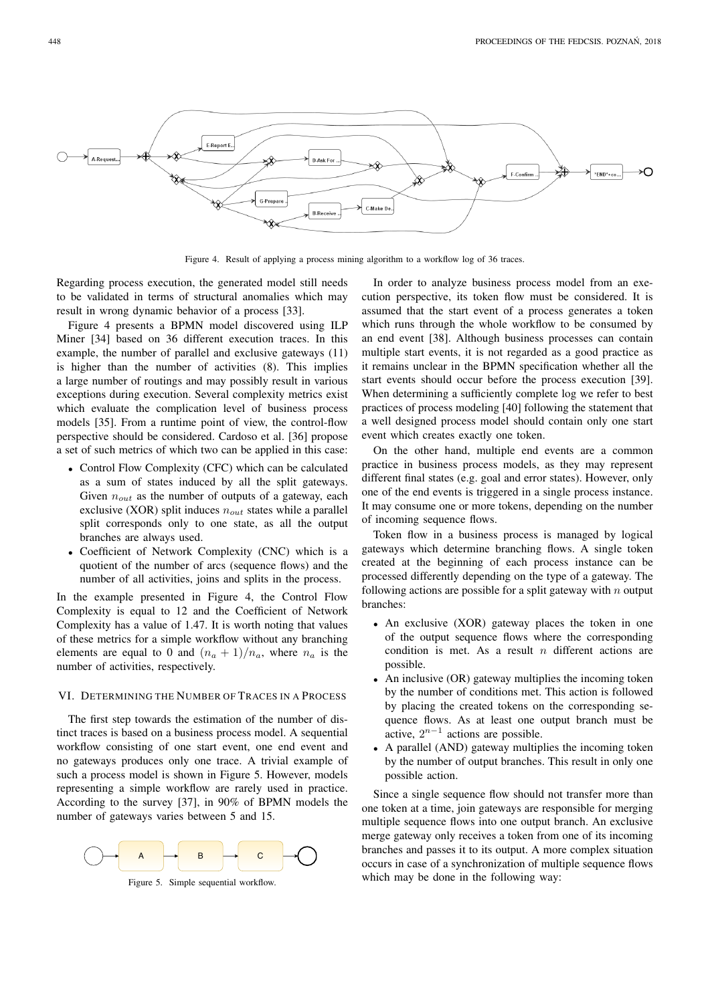

Figure 4. Result of applying a process mining algorithm to a workflow log of 36 traces.

Regarding process execution, the generated model still needs to be validated in terms of structural anomalies which may result in wrong dynamic behavior of a process [33].

Figure 4 presents a BPMN model discovered using ILP Miner [34] based on 36 different execution traces. In this example, the number of parallel and exclusive gateways (11) is higher than the number of activities (8). This implies a large number of routings and may possibly result in various exceptions during execution. Several complexity metrics exist which evaluate the complication level of business process models [35]. From a runtime point of view, the control-flow perspective should be considered. Cardoso et al. [36] propose a set of such metrics of which two can be applied in this case:

- Control Flow Complexity (CFC) which can be calculated as a sum of states induced by all the split gateways. Given  $n_{out}$  as the number of outputs of a gateway, each exclusive (XOR) split induces  $n_{out}$  states while a parallel split corresponds only to one state, as all the output branches are always used.
- Coefficient of Network Complexity (CNC) which is a quotient of the number of arcs (sequence flows) and the number of all activities, joins and splits in the process.

In the example presented in Figure 4, the Control Flow Complexity is equal to 12 and the Coefficient of Network Complexity has a value of 1.47. It is worth noting that values of these metrics for a simple workflow without any branching elements are equal to 0 and  $(n_a + 1)/n_a$ , where  $n_a$  is the number of activities, respectively.

# VI. DETERMINING THE NUMBER OF TRACES IN A PROCESS

The first step towards the estimation of the number of distinct traces is based on a business process model. A sequential workflow consisting of one start event, one end event and no gateways produces only one trace. A trivial example of such a process model is shown in Figure 5. However, models representing a simple workflow are rarely used in practice. According to the survey [37], in 90% of BPMN models the number of gateways varies between 5 and 15.



Figure 5. Simple sequential workflow.

In order to analyze business process model from an execution perspective, its token flow must be considered. It is assumed that the start event of a process generates a token which runs through the whole workflow to be consumed by an end event [38]. Although business processes can contain multiple start events, it is not regarded as a good practice as it remains unclear in the BPMN specification whether all the start events should occur before the process execution [39]. When determining a sufficiently complete log we refer to best practices of process modeling [40] following the statement that a well designed process model should contain only one start event which creates exactly one token.

On the other hand, multiple end events are a common practice in business process models, as they may represent different final states (e.g. goal and error states). However, only one of the end events is triggered in a single process instance. It may consume one or more tokens, depending on the number of incoming sequence flows.

Token flow in a business process is managed by logical gateways which determine branching flows. A single token created at the beginning of each process instance can be processed differently depending on the type of a gateway. The following actions are possible for a split gateway with  $n$  output branches:

- An exclusive (XOR) gateway places the token in one of the output sequence flows where the corresponding condition is met. As a result  $n$  different actions are possible.
- An inclusive (OR) gateway multiplies the incoming token by the number of conditions met. This action is followed by placing the created tokens on the corresponding sequence flows. As at least one output branch must be  $\alpha$  active,  $2^{n-1}$  actions are possible.
- A parallel (AND) gateway multiplies the incoming token by the number of output branches. This result in only one possible action.

Since a single sequence flow should not transfer more than one token at a time, join gateways are responsible for merging multiple sequence flows into one output branch. An exclusive merge gateway only receives a token from one of its incoming branches and passes it to its output. A more complex situation occurs in case of a synchronization of multiple sequence flows which may be done in the following way: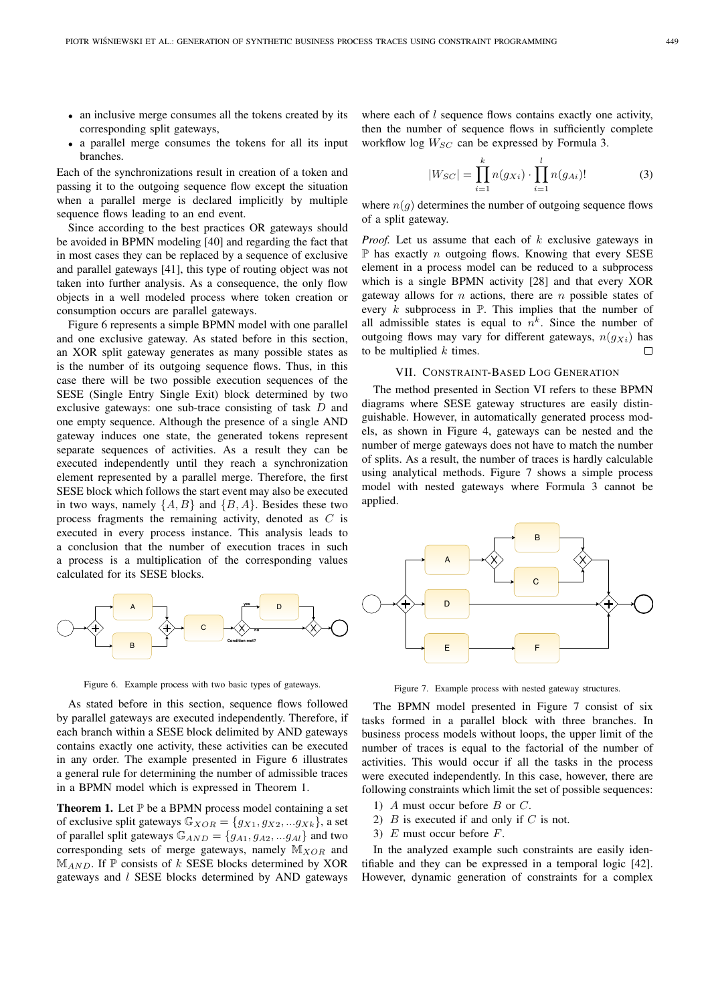- an inclusive merge consumes all the tokens created by its corresponding split gateways,
- a parallel merge consumes the tokens for all its input branches.

Each of the synchronizations result in creation of a token and passing it to the outgoing sequence flow except the situation when a parallel merge is declared implicitly by multiple sequence flows leading to an end event.

Since according to the best practices OR gateways should be avoided in BPMN modeling [40] and regarding the fact that in most cases they can be replaced by a sequence of exclusive and parallel gateways [41], this type of routing object was not taken into further analysis. As a consequence, the only flow objects in a well modeled process where token creation or consumption occurs are parallel gateways.

Figure 6 represents a simple BPMN model with one parallel and one exclusive gateway. As stated before in this section, an XOR split gateway generates as many possible states as is the number of its outgoing sequence flows. Thus, in this case there will be two possible execution sequences of the SESE (Single Entry Single Exit) block determined by two exclusive gateways: one sub-trace consisting of task D and one empty sequence. Although the presence of a single AND gateway induces one state, the generated tokens represent separate sequences of activities. As a result they can be executed independently until they reach a synchronization element represented by a parallel merge. Therefore, the first SESE block which follows the start event may also be executed in two ways, namely  $\{A, B\}$  and  $\{B, A\}$ . Besides these two process fragments the remaining activity, denoted as C is executed in every process instance. This analysis leads to a conclusion that the number of execution traces in such a process is a multiplication of the corresponding values calculated for its SESE blocks.



Figure 6. Example process with two basic types of gateways.

As stated before in this section, sequence flows followed by parallel gateways are executed independently. Therefore, if each branch within a SESE block delimited by AND gateways contains exactly one activity, these activities can be executed in any order. The example presented in Figure 6 illustrates a general rule for determining the number of admissible traces in a BPMN model which is expressed in Theorem 1.

**Theorem 1.** Let  $\mathbb P$  be a BPMN process model containing a set of exclusive split gateways  $\mathbb{G}_{XOR} = \{g_{X1}, g_{X2}, ... g_{Xk}\}\)$ , a set of parallel split gateways  $\mathbb{G}_{AND} = \{g_{A1}, g_{A2}, ... g_{Al}\}\$ and two corresponding sets of merge gateways, namely  $M_{XOR}$  and  $M_{AND}$ . If  $\mathbb P$  consists of k SESE blocks determined by XOR gateways and  $l$  SESE blocks determined by AND gateways where each of  $l$  sequence flows contains exactly one activity, then the number of sequence flows in sufficiently complete workflow log  $W_{SC}$  can be expressed by Formula 3.

$$
|W_{SC}| = \prod_{i=1}^{k} n(g_{Xi}) \cdot \prod_{i=1}^{l} n(g_{Ai})! \tag{3}
$$

where  $n(q)$  determines the number of outgoing sequence flows of a split gateway.

*Proof.* Let us assume that each of k exclusive gateways in  $\mathbb P$  has exactly *n* outgoing flows. Knowing that every SESE element in a process model can be reduced to a subprocess which is a single BPMN activity [28] and that every XOR gateway allows for  $n$  actions, there are  $n$  possible states of every  $k$  subprocess in  $\mathbb P$ . This implies that the number of all admissible states is equal to  $n^k$ . Since the number of outgoing flows may vary for different gateways,  $n(qx_i)$  has to be multiplied  $k$  times.  $\Box$ 

## VII. CONSTRAINT-BASED LOG GENERATION

The method presented in Section VI refers to these BPMN diagrams where SESE gateway structures are easily distinguishable. However, in automatically generated process models, as shown in Figure 4, gateways can be nested and the number of merge gateways does not have to match the number of splits. As a result, the number of traces is hardly calculable using analytical methods. Figure 7 shows a simple process model with nested gateways where Formula 3 cannot be applied.



Figure 7. Example process with nested gateway structures.

The BPMN model presented in Figure 7 consist of six tasks formed in a parallel block with three branches. In business process models without loops, the upper limit of the number of traces is equal to the factorial of the number of activities. This would occur if all the tasks in the process were executed independently. In this case, however, there are following constraints which limit the set of possible sequences:

- 1) A must occur before B or C.
- 2)  $B$  is executed if and only if  $C$  is not.
- 3)  $E$  must occur before  $F$ .

In the analyzed example such constraints are easily identifiable and they can be expressed in a temporal logic [42]. However, dynamic generation of constraints for a complex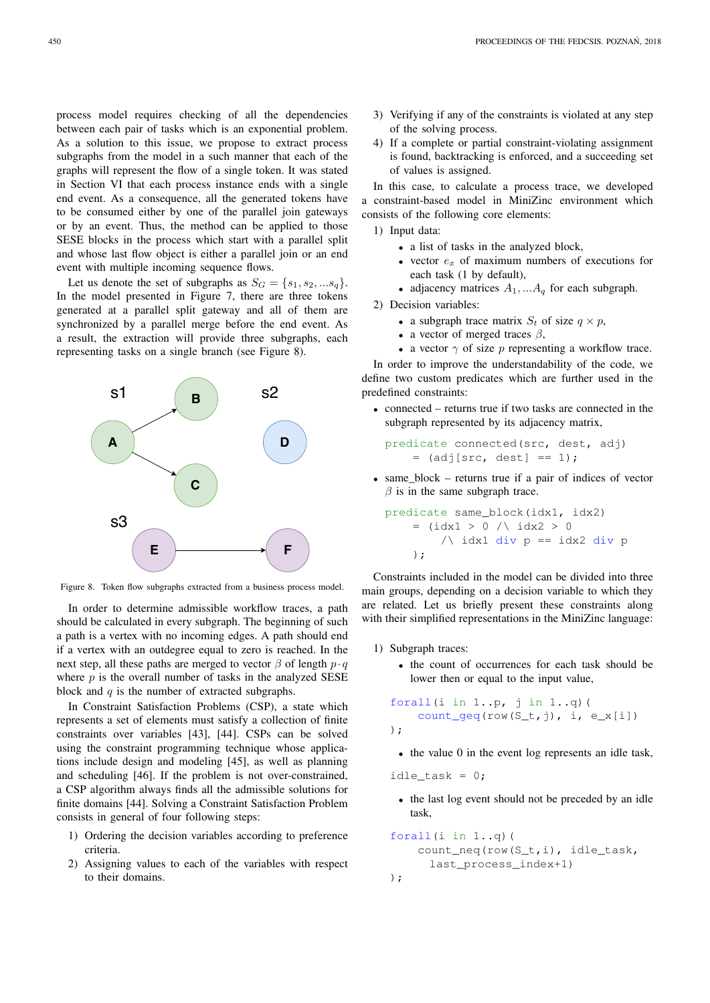process model requires checking of all the dependencies between each pair of tasks which is an exponential problem. As a solution to this issue, we propose to extract process subgraphs from the model in a such manner that each of the graphs will represent the flow of a single token. It was stated in Section VI that each process instance ends with a single end event. As a consequence, all the generated tokens have to be consumed either by one of the parallel join gateways or by an event. Thus, the method can be applied to those SESE blocks in the process which start with a parallel split and whose last flow object is either a parallel join or an end event with multiple incoming sequence flows.

Let us denote the set of subgraphs as  $S_G = \{s_1, s_2, \dots s_g\}.$ In the model presented in Figure 7, there are three tokens generated at a parallel split gateway and all of them are synchronized by a parallel merge before the end event. As a result, the extraction will provide three subgraphs, each representing tasks on a single branch (see Figure 8).



Figure 8. Token flow subgraphs extracted from a business process model.

In order to determine admissible workflow traces, a path should be calculated in every subgraph. The beginning of such a path is a vertex with no incoming edges. A path should end if a vertex with an outdegree equal to zero is reached. In the next step, all these paths are merged to vector  $\beta$  of length  $p \cdot q$ where  $p$  is the overall number of tasks in the analyzed SESE block and  $q$  is the number of extracted subgraphs.

In Constraint Satisfaction Problems (CSP), a state which represents a set of elements must satisfy a collection of finite constraints over variables [43], [44]. CSPs can be solved using the constraint programming technique whose applications include design and modeling [45], as well as planning and scheduling [46]. If the problem is not over-constrained, a CSP algorithm always finds all the admissible solutions for finite domains [44]. Solving a Constraint Satisfaction Problem consists in general of four following steps:

- 1) Ordering the decision variables according to preference criteria.
- 2) Assigning values to each of the variables with respect to their domains.
- 3) Verifying if any of the constraints is violated at any step of the solving process.
- 4) If a complete or partial constraint-violating assignment is found, backtracking is enforced, and a succeeding set of values is assigned.

In this case, to calculate a process trace, we developed a constraint-based model in MiniZinc environment which consists of the following core elements:

1) Input data:

- a list of tasks in the analyzed block,
- vector  $e_x$  of maximum numbers of executions for each task (1 by default),
- adjacency matrices  $A_1, \ldots, A_q$  for each subgraph.

2) Decision variables:

- a subgraph trace matrix  $S_t$  of size  $q \times p$ ,
- a vector of merged traces  $\beta$ ,
- a vector  $\gamma$  of size p representing a workflow trace.

In order to improve the understandability of the code, we define two custom predicates which are further used in the predefined constraints:

• connected – returns true if two tasks are connected in the subgraph represented by its adjacency matrix,

$$
predicate connected(src, dest, adj) = (adj[src, dest] == 1);
$$

• same  $block$  – returns true if a pair of indices of vector  $\beta$  is in the same subgraph trace.

```
\n
$$
\text{predicate same-block}(\text{idx1}, \text{idx2}) \\
 = (\text{idx1} > 0 \land \text{idx2} > 0 \\
 \land \text{idx1} \text{ div } p == \text{idx2} \text{ div } p \\
 \text{);\n
$$
\n
```

Constraints included in the model can be divided into three main groups, depending on a decision variable to which they are related. Let us briefly present these constraints along with their simplified representations in the MiniZinc language:

- 1) Subgraph traces:
	- the count of occurrences for each task should be lower then or equal to the input value,

forall(i in  $1..p$ , j in  $1..q$ )( count\_geq(row(S\_t,j), i, e\_x[i]) );

• the value 0 in the event log represents an idle task,

idle\_task =  $0;$ 

• the last log event should not be preceded by an idle task,

```
forall(i in 1 \ldots q)(
    count_neq(row(S_t,i), idle_task,
      last_process_index+1)
);
```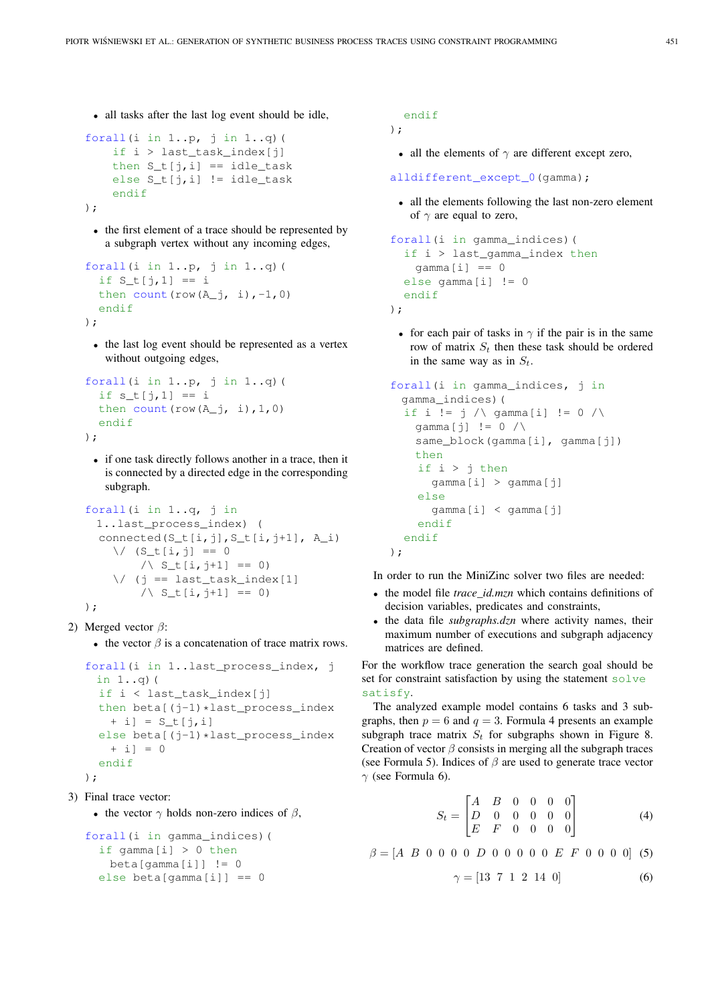• all tasks after the last log event should be idle,

```
forall(i in 1..p, j in 1..q)(
    if i > last_task_index[j]
    then S_t[j,i] == idle\_taskelse S_t[j,i] != idle_task
    endif
);
```
• the first element of a trace should be represented by a subgraph vertex without any incoming edges,

```
forall(i in 1..p, j in 1..q)(
  if S_t[j,1] == ithen count (\text{row}(A_i), i), -1, 0)endif
);
```
• the last log event should be represented as a vertex without outgoing edges,

```
forall(i in 1..p, j in 1..q)(
  if s_t[j,1] == ithen count (row(A_j, i), 1, 0)endif
);
```
• if one task directly follows another in a trace, then it is connected by a directed edge in the corresponding subgraph.

```
forall(i in 1..q, j in
  1..last_process_index) (
  connected(S_t[i,j], S_t[i,j+1], A_i)
     \sqrt{(S_t[i, j]]} = 0/ \backslash S_t[i, j+1] == 0)
     \setminus (j == last_task_index[1]
         / \backslash S_t[i, j+1] == 0)
);
```

```
2) Merged vector \beta:
```
• the vector  $\beta$  is a concatenation of trace matrix rows.

```
forall(i in 1..last_process_index, j
 in 1..q)(
  if i < last_task_index[j]
  then beta[(j-1)*last_process_index
   + i] = S_t[j,i]else beta[(j-1)*last_process_index
   + i = 0endif
```

```
);
```

```
3) Final trace vector:
```

```
• the vector \gamma holds non-zero indices of \beta,
```

```
forall(i in gamma_indices)(
 if gamma[i] > 0 then
   beta[gamma[i]] != 0
 else beta[gamma[i]] == 0
```
# endif

```
);
```
• all the elements of  $\gamma$  are different except zero,

alldifferent\_except\_0(gamma);

• all the elements following the last non-zero element of  $\gamma$  are equal to zero,

```
forall(i in gamma_indices)(
  if i > last_gamma_index then
   qamma[i] == 0else gamma[i] != 0
 endif
);
```
• for each pair of tasks in  $\gamma$  if the pair is in the same row of matrix  $S_t$  then these task should be ordered in the same way as in  $S_t$ .

```
forall(i in gamma_indices, j in
 gamma_indices)(
  if i != \dot{1} /\ gamma[i] != 0 /\
   qamma[i] != 0 /\
    same_block(gamma[i], gamma[j])
   then
    if i > j then
      gamma[i] > gamma[j]
    else
      gamma[i] < gamma[j]
    endif
  endif
);
```
In order to run the MiniZinc solver two files are needed:

- the model file *trace\_id.mzn* which contains definitions of decision variables, predicates and constraints,
- the data file *subgraphs.dzn* where activity names, their maximum number of executions and subgraph adjacency matrices are defined.

For the workflow trace generation the search goal should be set for constraint satisfaction by using the statement solve satisfy.

The analyzed example model contains 6 tasks and 3 subgraphs, then  $p = 6$  and  $q = 3$ . Formula 4 presents an example subgraph trace matrix  $S_t$  for subgraphs shown in Figure 8. Creation of vector  $\beta$  consists in merging all the subgraph traces (see Formula 5). Indices of  $\beta$  are used to generate trace vector  $\gamma$  (see Formula 6).

$$
S_t = \begin{bmatrix} A & B & 0 & 0 & 0 & 0 \\ D & 0 & 0 & 0 & 0 & 0 \\ E & F & 0 & 0 & 0 & 0 \end{bmatrix} \tag{4}
$$

 $\beta = [A \ B \ 0 \ 0 \ 0 \ 0 \ D \ 0 \ 0 \ 0 \ 0 \ 0 \ E \ F \ 0 \ 0 \ 0 \ 0]$  (5)

$$
\gamma = [13 \ 7 \ 1 \ 2 \ 14 \ 0] \tag{6}
$$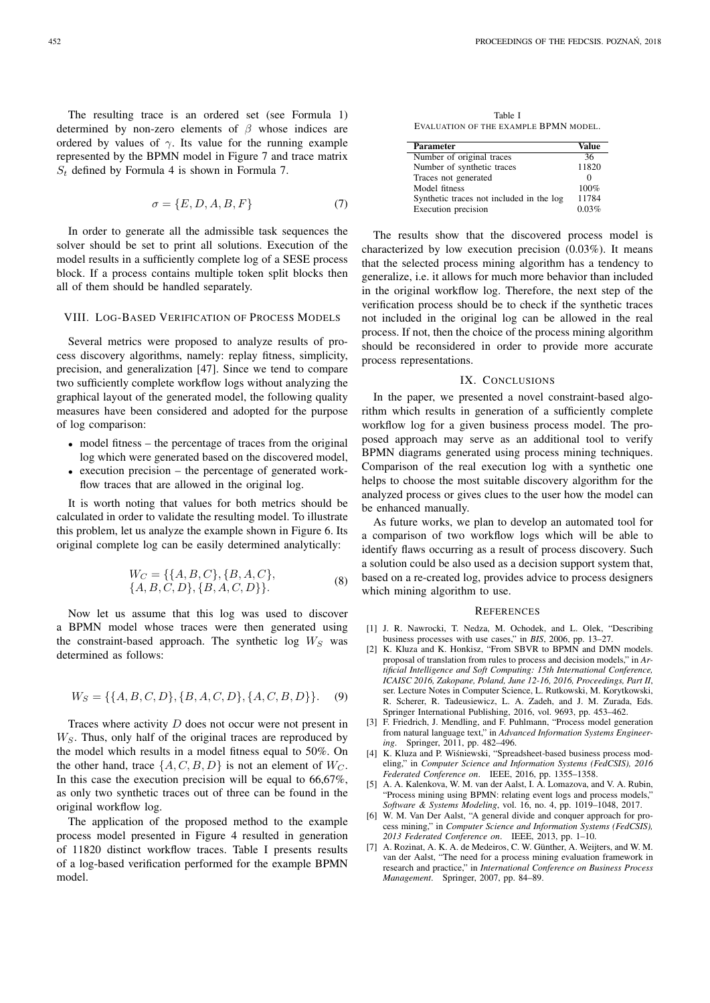The resulting trace is an ordered set (see Formula 1) determined by non-zero elements of  $\beta$  whose indices are ordered by values of  $\gamma$ . Its value for the running example represented by the BPMN model in Figure 7 and trace matrix  $S_t$  defined by Formula 4 is shown in Formula 7.

$$
\sigma = \{E, D, A, B, F\} \tag{7}
$$

In order to generate all the admissible task sequences the solver should be set to print all solutions. Execution of the model results in a sufficiently complete log of a SESE process block. If a process contains multiple token split blocks then all of them should be handled separately.

# VIII. LOG-BASED VERIFICATION OF PROCESS MODELS

Several metrics were proposed to analyze results of process discovery algorithms, namely: replay fitness, simplicity, precision, and generalization [47]. Since we tend to compare two sufficiently complete workflow logs without analyzing the graphical layout of the generated model, the following quality measures have been considered and adopted for the purpose of log comparison:

- model fitness the percentage of traces from the original log which were generated based on the discovered model,
- execution precision the percentage of generated workflow traces that are allowed in the original log.

It is worth noting that values for both metrics should be calculated in order to validate the resulting model. To illustrate this problem, let us analyze the example shown in Figure 6. Its original complete log can be easily determined analytically:

$$
W_C = \{\{A, B, C\}, \{B, A, C\},\
$$
  

$$
\{A, B, C, D\}, \{B, A, C, D\}\}.
$$
 (8)

Now let us assume that this log was used to discover a BPMN model whose traces were then generated using the constraint-based approach. The synthetic log  $W_S$  was determined as follows:

$$
W_S = \{ \{A, B, C, D\}, \{B, A, C, D\}, \{A, C, B, D\} \}.
$$
 (9)

Traces where activity D does not occur were not present in  $W<sub>S</sub>$ . Thus, only half of the original traces are reproduced by the model which results in a model fitness equal to 50%. On the other hand, trace  $\{A, C, B, D\}$  is not an element of  $W_C$ . In this case the execution precision will be equal to 66,67%, as only two synthetic traces out of three can be found in the original workflow log.

The application of the proposed method to the example process model presented in Figure 4 resulted in generation of 11820 distinct workflow traces. Table I presents results of a log-based verification performed for the example BPMN model.

Table I EVALUATION OF THE EXAMPLE BPMN MODEL.

| <b>Parameter</b>                         | Value |
|------------------------------------------|-------|
| Number of original traces                | 36    |
| Number of synthetic traces               | 11820 |
| Traces not generated                     |       |
| Model fitness                            | 100%  |
| Synthetic traces not included in the log | 11784 |
| Execution precision                      | 0.03% |

The results show that the discovered process model is characterized by low execution precision (0.03%). It means that the selected process mining algorithm has a tendency to generalize, i.e. it allows for much more behavior than included in the original workflow log. Therefore, the next step of the verification process should be to check if the synthetic traces not included in the original log can be allowed in the real process. If not, then the choice of the process mining algorithm should be reconsidered in order to provide more accurate process representations.

#### IX. CONCLUSIONS

In the paper, we presented a novel constraint-based algorithm which results in generation of a sufficiently complete workflow log for a given business process model. The proposed approach may serve as an additional tool to verify BPMN diagrams generated using process mining techniques. Comparison of the real execution log with a synthetic one helps to choose the most suitable discovery algorithm for the analyzed process or gives clues to the user how the model can be enhanced manually.

As future works, we plan to develop an automated tool for a comparison of two workflow logs which will be able to identify flaws occurring as a result of process discovery. Such a solution could be also used as a decision support system that, based on a re-created log, provides advice to process designers which mining algorithm to use.

#### **REFERENCES**

- [1] J. R. Nawrocki, T. Nedza, M. Ochodek, and L. Olek, "Describing business processes with use cases," in *BIS*, 2006, pp. 13–27.
- [2] K. Kluza and K. Honkisz, "From SBVR to BPMN and DMN models. proposal of translation from rules to process and decision models," in *Artificial Intelligence and Soft Computing: 15th International Conference, ICAISC 2016, Zakopane, Poland, June 12-16, 2016, Proceedings, Part II*, ser. Lecture Notes in Computer Science, L. Rutkowski, M. Korytkowski, R. Scherer, R. Tadeusiewicz, L. A. Zadeh, and J. M. Zurada, Eds. Springer International Publishing, 2016, vol. 9693, pp. 453–462.
- [3] F. Friedrich, J. Mendling, and F. Puhlmann, "Process model generation from natural language text," in *Advanced Information Systems Engineering*. Springer, 2011, pp. 482–496.
- [4] K. Kluza and P. Wiśniewski, "Spreadsheet-based business process modeling," in *Computer Science and Information Systems (FedCSIS), 2016 Federated Conference on*. IEEE, 2016, pp. 1355–1358.
- [5] A. A. Kalenkova, W. M. van der Aalst, I. A. Lomazova, and V. A. Rubin, "Process mining using BPMN: relating event logs and process models," *Software & Systems Modeling*, vol. 16, no. 4, pp. 1019–1048, 2017.
- [6] W. M. Van Der Aalst, "A general divide and conquer approach for process mining," in *Computer Science and Information Systems (FedCSIS), 2013 Federated Conference on*. IEEE, 2013, pp. 1–10.
- [7] A. Rozinat, A. K. A. de Medeiros, C. W. Günther, A. Weijters, and W. M. van der Aalst, "The need for a process mining evaluation framework in research and practice," in *International Conference on Business Process Management*. Springer, 2007, pp. 84–89.